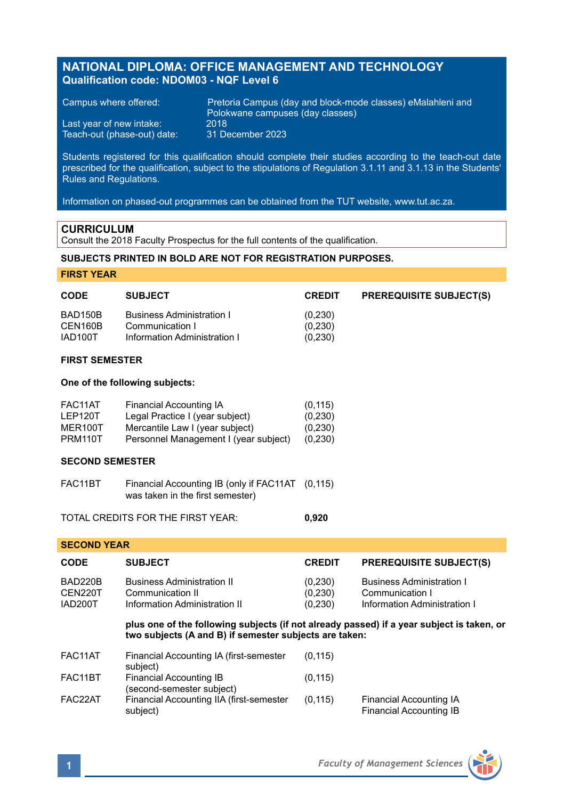# **NATIONAL DIPLOMA: OFFICE MANAGEMENT AND TECHNOLOGY Qualification code: NDOM03 - NQF Level 6**

Last year of new intake: 2018 Teach-out (phase-out) date:

Campus where offered: Pretoria Campus (day and block-mode classes) eMalahleni and Polokwane campuses (day classes)<br>2018

Students registered for this qualification should complete their studies according to the teach-out date prescribed for the qualification, subject to the stipulations of Regulation 3.1.11 and 3.1.13 in the Students' Rules and Regulations.

Information on phased-out programmes can be obtained from the TUT website, www.tut.ac.za.

### **CURRICULUM**

Consult the 2018 Faculty Prospectus for the full contents of the qualification.

### **SUBJECTS PRINTED IN BOLD ARE NOT FOR REGISTRATION PURPOSES.**

**FIRST YEAR**

| <b>CODE</b>                              | <b>SUBJECT</b>                                                                                                                                | <b>CREDIT</b>                                | <b>PREREQUISITE SUBJECT(S)</b>                                                             |  |  |
|------------------------------------------|-----------------------------------------------------------------------------------------------------------------------------------------------|----------------------------------------------|--------------------------------------------------------------------------------------------|--|--|
| <b>BAD150B</b><br>CEN160B<br>IAD100T     | <b>Business Administration I</b><br>Communication I<br>Information Administration I                                                           | (0, 230)<br>(0, 230)<br>(0, 230)             |                                                                                            |  |  |
| <b>FIRST SEMESTER</b>                    |                                                                                                                                               |                                              |                                                                                            |  |  |
| One of the following subjects:           |                                                                                                                                               |                                              |                                                                                            |  |  |
| FAC11AT<br>LEP120T<br>MER100T<br>PRM110T | <b>Financial Accounting IA</b><br>Legal Practice I (year subject)<br>Mercantile Law I (year subject)<br>Personnel Management I (year subject) | (0, 115)<br>(0, 230)<br>(0, 230)<br>(0, 230) |                                                                                            |  |  |
|                                          | <b>SECOND SEMESTER</b>                                                                                                                        |                                              |                                                                                            |  |  |
| FAC11BT                                  | Financial Accounting IB (only if FAC11AT<br>was taken in the first semester)                                                                  | (0.115)                                      |                                                                                            |  |  |
|                                          | TOTAL CREDITS FOR THE FIRST YEAR:                                                                                                             | 0,920                                        |                                                                                            |  |  |
| <b>SECOND YEAR</b>                       |                                                                                                                                               |                                              |                                                                                            |  |  |
| <b>CODE</b>                              | <b>SUBJECT</b>                                                                                                                                | <b>CREDIT</b>                                | <b>PREREQUISITE SUBJECT(S)</b>                                                             |  |  |
| BAD220B<br>CEN220T<br>IAD200T            | <b>Business Administration II</b><br>Communication II<br>Information Administration II                                                        | (0, 230)<br>(0, 230)<br>(0, 230)             | <b>Business Administration I</b><br>Communication I<br><b>Information Administration I</b> |  |  |
|                                          | plus one of the following subjects (if not already passed) if a year subject is taken, or                                                     |                                              |                                                                                            |  |  |

**two subjects (A and B) if semester subjects are taken:**

| FAC11AT | Financial Accounting IA (first-semester<br>subject)  | (0, 115) |                                                    |
|---------|------------------------------------------------------|----------|----------------------------------------------------|
| FAC11BT | Financial Accounting IB<br>(second-semester subject) | (0, 115) |                                                    |
| FAC22AT | Financial Accounting IIA (first-semester<br>subject) | (0.115)  | Financial Accounting IA<br>Financial Accounting IB |

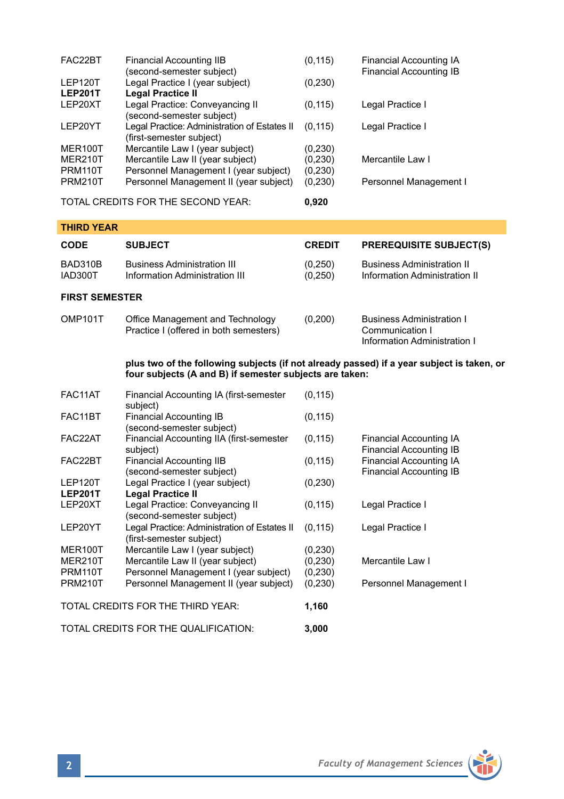| FAC22BT        | Financial Accounting IIB<br>(second-semester subject) | (0, 115) | Financial Accounting IA<br>Financial Accounting IB |
|----------------|-------------------------------------------------------|----------|----------------------------------------------------|
| LEP120T        | Legal Practice I (year subject)                       | (0,230)  |                                                    |
| <b>LEP201T</b> | <b>Legal Practice II</b>                              |          |                                                    |
| LEP20XT        | Legal Practice: Conveyancing II                       | (0, 115) | Legal Practice I                                   |
|                | (second-semester subject)                             |          |                                                    |
| LEP20YT        | Legal Practice: Administration of Estates II          | (0.115)  | Legal Practice I                                   |
|                | (first-semester subject)                              |          |                                                    |
| MER100T        | Mercantile Law I (year subject)                       | (0, 230) |                                                    |
| MER210T        | Mercantile Law II (year subject)                      | (0, 230) | Mercantile Law I                                   |
| PRM110T        | Personnel Management I (year subject)                 | (0, 230) |                                                    |
| <b>PRM210T</b> | Personnel Management II (year subject)                | (0, 230) | Personnel Management I                             |
|                |                                                       |          |                                                    |

TOTAL CREDITS FOR THE SECOND YEAR: **0,920**

| <b>THIRD YEAR</b>     |                                                                            |                    |                                                                                     |
|-----------------------|----------------------------------------------------------------------------|--------------------|-------------------------------------------------------------------------------------|
| <b>CODE</b>           | <b>SUBJECT</b>                                                             | <b>CREDIT</b>      | <b>PREREQUISITE SUBJECT(S)</b>                                                      |
| BAD310B<br>IAD300T    | <b>Business Administration III</b><br>Information Administration III       | (0,250)<br>(0,250) | <b>Business Administration II</b><br>Information Administration II                  |
| <b>FIRST SEMESTER</b> |                                                                            |                    |                                                                                     |
| OMP <sub>101</sub> T  | Office Management and Technology<br>Practice I (offered in both semesters) | (0,200)            | <b>Business Administration I</b><br>Communication I<br>Information Administration I |

**plus two of the following subjects (if not already passed) if a year subject is taken, or four subjects (A and B) if semester subjects are taken:**

| FAC11AT        | Financial Accounting IA (first-semester<br>subject)                      | (0, 115) |                                                           |
|----------------|--------------------------------------------------------------------------|----------|-----------------------------------------------------------|
| FAC11BT        | <b>Financial Accounting IB</b><br>(second-semester subject)              | (0, 115) |                                                           |
| FAC22AT        | Financial Accounting IIA (first-semester<br>subject)                     | (0, 115) | Financial Accounting IA<br>Financial Accounting IB        |
| FAC22BT        | Financial Accounting IIB<br>(second-semester subject)                    | (0, 115) | <b>Financial Accounting IA</b><br>Financial Accounting IB |
| LEP120T        | Legal Practice I (year subject)                                          | (0, 230) |                                                           |
| <b>LEP201T</b> | <b>Legal Practice II</b>                                                 |          |                                                           |
| LEP20XT        | Legal Practice: Conveyancing II<br>(second-semester subject)             | (0, 115) | Legal Practice I                                          |
| LEP20YT        | Legal Practice: Administration of Estates II<br>(first-semester subject) | (0, 115) | Legal Practice I                                          |
| MER100T        | Mercantile Law I (year subject)                                          | (0, 230) |                                                           |
| MER210T        | Mercantile Law II (year subject)                                         | (0, 230) | Mercantile Law I                                          |
| <b>PRM110T</b> | Personnel Management I (year subject)                                    | (0, 230) |                                                           |
| <b>PRM210T</b> | Personnel Management II (year subject)                                   | (0, 230) | Personnel Management I                                    |
|                | TOTAL CREDITS FOR THE THIRD YEAR:                                        | 1,160    |                                                           |
|                | TOTAL CREDITS FOR THE QUALIFICATION:                                     | 3,000    |                                                           |

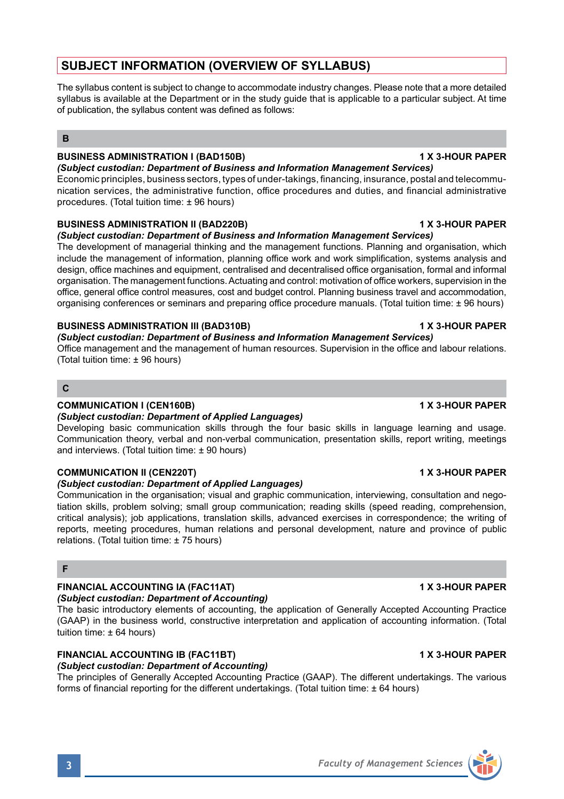# **SUBJECT INFORMATION (OVERVIEW OF SYLLABUS)**

The syllabus content is subject to change to accommodate industry changes. Please note that a more detailed syllabus is available at the Department or in the study guide that is applicable to a particular subject. At time of publication, the syllabus content was defined as follows:

# **B**

# **BUSINESS ADMINISTRATION I (BAD150B) 1 X 3-HOUR PAPER**

# *(Subject custodian: Department of Business and Information Management Services)*

Economic principles, business sectors, types of under-takings, financing, insurance, postal and telecommunication services, the administrative function, office procedures and duties, and financial administrative procedures. (Total tuition time: ± 96 hours)

## **BUSINESS ADMINISTRATION II (BAD220B) 1 X 3-HOUR PAPER**

## *(Subject custodian: Department of Business and Information Management Services)*

The development of managerial thinking and the management functions. Planning and organisation, which include the management of information, planning office work and work simplification, systems analysis and design, office machines and equipment, centralised and decentralised office organisation, formal and informal organisation. The management functions. Actuating and control: motivation of office workers, supervision in the office, general office control measures, cost and budget control. Planning business travel and accommodation, organising conferences or seminars and preparing office procedure manuals. (Total tuition time: ± 96 hours)

## **BUSINESS ADMINISTRATION III (BAD310B) 1 X 3-HOUR PAPER**

## *(Subject custodian: Department of Business and Information Management Services)*

Office management and the management of human resources. Supervision in the office and labour relations. (Total tuition time: ± 96 hours)

# **C**

## **COMMUNICATION I (CEN160B) 1 X 3-HOUR PAPER**

# *(Subject custodian: Department of Applied Languages)*

Developing basic communication skills through the four basic skills in language learning and usage. Communication theory, verbal and non-verbal communication, presentation skills, report writing, meetings and interviews. (Total tuition time:  $\pm$  90 hours)

# **COMMUNICATION II (CEN220T) 1 X 3-HOUR PAPER**

## *(Subject custodian: Department of Applied Languages)*

Communication in the organisation; visual and graphic communication, interviewing, consultation and negotiation skills, problem solving; small group communication; reading skills (speed reading, comprehension, critical analysis); job applications, translation skills, advanced exercises in correspondence; the writing of reports, meeting procedures, human relations and personal development, nature and province of public relations. (Total tuition time: ± 75 hours)

# **F**

# **FINANCIAL ACCOUNTING IA (FAC11AT) 1 X 3-HOUR PAPER**

# *(Subject custodian: Department of Accounting)*

The basic introductory elements of accounting, the application of Generally Accepted Accounting Practice (GAAP) in the business world, constructive interpretation and application of accounting information. (Total tuition time:  $\pm 64$  hours)

# **FINANCIAL ACCOUNTING IB (FAC11BT) 1 X 3-HOUR PAPER**

*(Subject custodian: Department of Accounting)*

The principles of Generally Accepted Accounting Practice (GAAP). The different undertakings. The various forms of financial reporting for the different undertakings. (Total tuition time: ± 64 hours)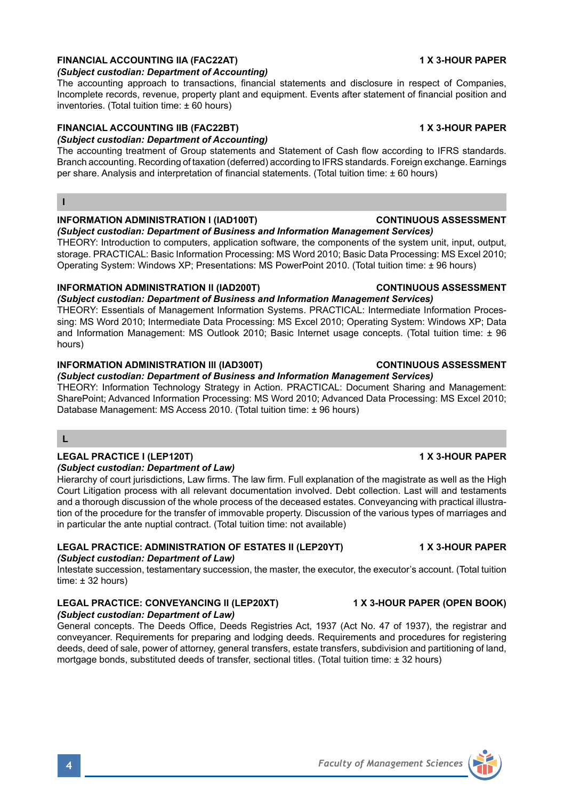# **FINANCIAL ACCOUNTING IIA (FAC22AT) 1 X 3-HOUR PAPER**

### *(Subject custodian: Department of Accounting)*

The accounting approach to transactions, financial statements and disclosure in respect of Companies, Incomplete records, revenue, property plant and equipment. Events after statement of financial position and inventories. (Total tuition time: ± 60 hours)

# **FINANCIAL ACCOUNTING IIB (FAC22BT) 1 X 3-HOUR PAPER**

## *(Subject custodian: Department of Accounting)*

The accounting treatment of Group statements and Statement of Cash flow according to IFRS standards. Branch accounting. Recording of taxation (deferred) according to IFRS standards. Foreign exchange. Earnings per share. Analysis and interpretation of financial statements. (Total tuition time: ± 60 hours)

**I**

### **INFORMATION ADMINISTRATION l (IAD100T) CONTINUOUS ASSESSMENT**

### *(Subject custodian: Department of Business and Information Management Services)*

THEORY: Introduction to computers, application software, the components of the system unit, input, output, storage. PRACTICAL: Basic Information Processing: MS Word 2010; Basic Data Processing: MS Excel 2010; Operating System: Windows XP; Presentations: MS PowerPoint 2010. (Total tuition time: ± 96 hours)

### **INFORMATION ADMINISTRATION ll (IAD200T) CONTINUOUS ASSESSMENT**

*(Subject custodian: Department of Business and Information Management Services)* THEORY: Essentials of Management Information Systems. PRACTICAL: Intermediate Information Processing: MS Word 2010; Intermediate Data Processing: MS Excel 2010; Operating System: Windows XP; Data and Information Management: MS Outlook 2010; Basic Internet usage concepts. (Total tuition time: ± 96 hours)

### **INFORMATION ADMINISTRATION lll (IAD300T) CONTINUOUS ASSESSMENT**

*(Subject custodian: Department of Business and Information Management Services)* THEORY: Information Technology Strategy in Action. PRACTICAL: Document Sharing and Management: SharePoint; Advanced Information Processing: MS Word 2010; Advanced Data Processing: MS Excel 2010; Database Management: MS Access 2010. (Total tuition time: ± 96 hours)

# **L**

## **LEGAL PRACTICE I (LEP120T) 1 X 3-HOUR PAPER**

### *(Subject custodian: Department of Law)*

Hierarchy of court jurisdictions, Law firms. The law firm. Full explanation of the magistrate as well as the High Court Litigation process with all relevant documentation involved. Debt collection. Last will and testaments and a thorough discussion of the whole process of the deceased estates. Conveyancing with practical illustration of the procedure for the transfer of immovable property. Discussion of the various types of marriages and in particular the ante nuptial contract. (Total tuition time: not available)

# **LEGAL PRACTICE: ADMINISTRATION OF ESTATES II (LEP20YT) 1 X 3-HOUR PAPER**

# *(Subject custodian: Department of Law)*

Intestate succession, testamentary succession, the master, the executor, the executor's account. (Total tuition  $time: + 32 hours$ 

# **LEGAL PRACTICE: CONVEYANCING II (LEP20XT) 1 X 3-HOUR PAPER (OPEN BOOK)**

*(Subject custodian: Department of Law)* General concepts. The Deeds Office, Deeds Registries Act, 1937 (Act No. 47 of 1937), the registrar and conveyancer. Requirements for preparing and lodging deeds. Requirements and procedures for registering deeds, deed of sale, power of attorney, general transfers, estate transfers, subdivision and partitioning of land, mortgage bonds, substituted deeds of transfer, sectional titles. (Total tuition time: ± 32 hours)